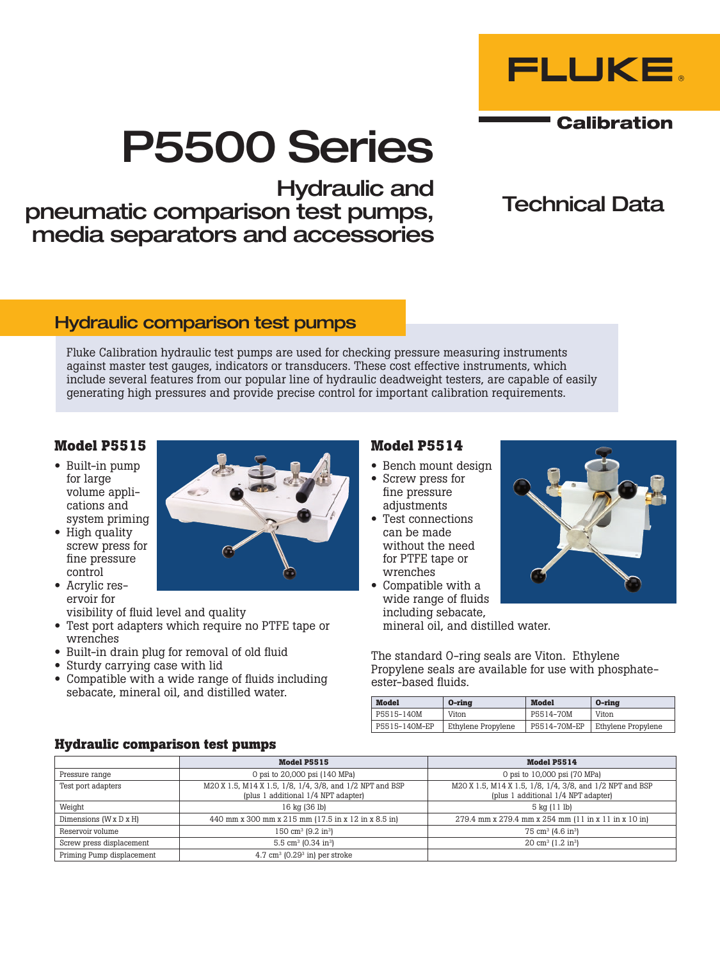

**Calibration** 

# P5500 Series

Hydraulic and

pneumatic comparison test pumps, media separators and accessories

# Technical Data

# Hydraulic comparison test pumps

Fluke Calibration hydraulic test pumps are used for checking pressure measuring instruments against master test gauges, indicators or transducers. These cost effective instruments, which include several features from our popular line of hydraulic deadweight testers, are capable of easily generating high pressures and provide precise control for important calibration requirements.

# **Model P5515**

- Built-in pump for large volume applications and system priming
- High quality screw press for fine pressure control
- Acrylic reservoir for

visibility of fluid level and quality

- Test port adapters which require no PTFE tape or wrenches
- Built-in drain plug for removal of old fluid
- Sturdy carrying case with lid
- Compatible with a wide range of fluids including sebacate, mineral oil, and distilled water.



# **Model P5514**

- Bench mount design
- Screw press for fine pressure adjustments
- Test connections can be made without the need for PTFE tape or wrenches
- Compatible with a wide range of fluids including sebacate,



mineral oil, and distilled water.

The standard O-ring seals are Viton. Ethylene Propylene seals are available for use with phosphateester-based fluids.

| Model         | O-rina             | <b>Model</b> | O-rina             |
|---------------|--------------------|--------------|--------------------|
| P5515-140M    | Viton              | P5514-70M    | Viton              |
| P5515-140M-EP | Ethylene Propylene | P5514-70M-EP | Ethylene Propylene |

## **Hydraulic comparison test pumps**

|                           | <b>Model P5515</b>                                                                              | Model P5514                                                                                     |
|---------------------------|-------------------------------------------------------------------------------------------------|-------------------------------------------------------------------------------------------------|
|                           |                                                                                                 |                                                                                                 |
| Pressure range            | 0 psi to 20,000 psi (140 MPa)                                                                   | 0 psi to 10,000 psi (70 MPa)                                                                    |
| Test port adapters        | M20 X 1.5, M14 X 1.5, 1/8, 1/4, 3/8, and 1/2 NPT and BSP<br>(plus 1 additional 1/4 NPT adapter) | M20 X 1.5, M14 X 1.5, 1/8, 1/4, 3/8, and 1/2 NPT and BSP<br>(plus 1 additional 1/4 NPT adapter) |
| Weight                    | 16 kg (36 lb)                                                                                   | 5 kg (11 lb)                                                                                    |
| Dimensions (W x D x H)    | 440 mm x 300 mm x 215 mm (17.5 in x 12 in x 8.5 in)                                             | 279.4 mm x 279.4 mm x 254 mm (11 in x 11 in x 10 in)                                            |
| Reservoir volume          | 150 cm <sup>3</sup> $(9.2 \text{ in}^3)$                                                        | $75 \text{ cm}^3$ (4.6 in <sup>3</sup> )                                                        |
| Screw press displacement  | 5.5 cm <sup>3</sup> (0.34 in <sup>3</sup> )                                                     | $20 \text{ cm}^3$ (1.2 in <sup>3</sup> )                                                        |
| Priming Pump displacement | $4.7 \text{ cm}^3$ (0.29 <sup>3</sup> in) per stroke                                            |                                                                                                 |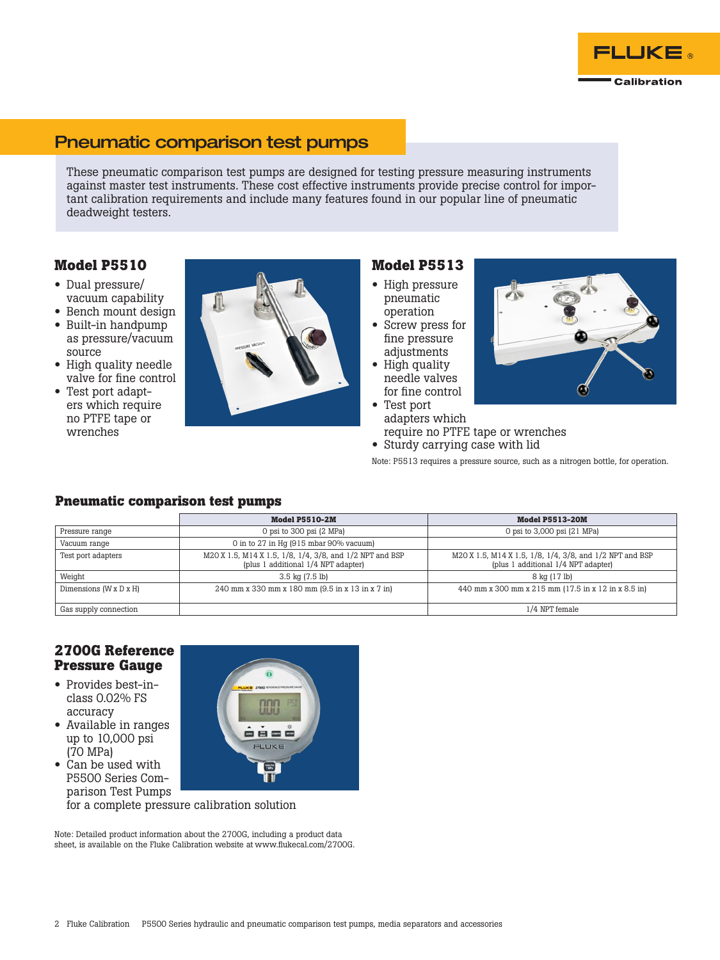

# Pneumatic comparison test pumps

These pneumatic comparison test pumps are designed for testing pressure measuring instruments against master test instruments. These cost effective instruments provide precise control for important calibration requirements and include many features found in our popular line of pneumatic deadweight testers.

## **Model P5510**

- Dual pressure/ vacuum capability
- Bench mount design • Built-in handpump
- as pressure/vacuum source • High quality needle
- valve for fine control
- Test port adapters which require no PTFE tape or wrenches



## **Model P5513**

- High pressure pneumatic operation
- Screw press for fine pressure adjustments
- High quality needle valves for fine control
- Test port adapters which require no PTFE tape or wrenches
- Sturdy carrying case with lid

Note: P5513 requires a pressure source, such as a nitrogen bottle, for operation.

#### **Pneumatic comparison test pumps**

|                        | <b>Model P5510-2M</b>                                                                           | <b>Model P5513-20M</b>                                                                          |
|------------------------|-------------------------------------------------------------------------------------------------|-------------------------------------------------------------------------------------------------|
| Pressure range         | 0 psi to 300 psi (2 MPa)                                                                        | 0 psi to 3,000 psi (21 MPa)                                                                     |
| Vacuum range           | 0 in to 27 in Hg $(915 \text{ mbar } 90\% \text{ vacuum})$                                      |                                                                                                 |
| Test port adapters     | M20 X 1.5, M14 X 1.5, 1/8, 1/4, 3/8, and 1/2 NPT and BSP<br>(plus 1 additional 1/4 NPT adapter) | M20 X 1.5, M14 X 1.5, 1/8, 1/4, 3/8, and 1/2 NPT and BSP<br>(plus 1 additional 1/4 NPT adapter) |
| Weight                 | $3.5 \text{ kg} (7.5 \text{ lb})$                                                               | 8 kg (17 lb)                                                                                    |
| Dimensions (W x D x H) | 240 mm x 330 mm x 180 mm (9.5 in x 13 in x 7 in)                                                | 440 mm x 300 mm x 215 mm (17.5 in x 12 in x 8.5 in)                                             |
| Gas supply connection  |                                                                                                 | 1/4 NPT female                                                                                  |

#### **2700G Reference Pressure Gauge**

- Provides best-inclass 0.02% FS accuracy
- Available in ranges up to 10,000 psi (70 MPa)
- Can be used with P5500 Series Comparison Test Pumps for a complete pressure calibration solution



Note: Detailed product information about the 2700G, including a product data sheet, is available on the Fluke Calibration website at www.flukecal.com/2700G.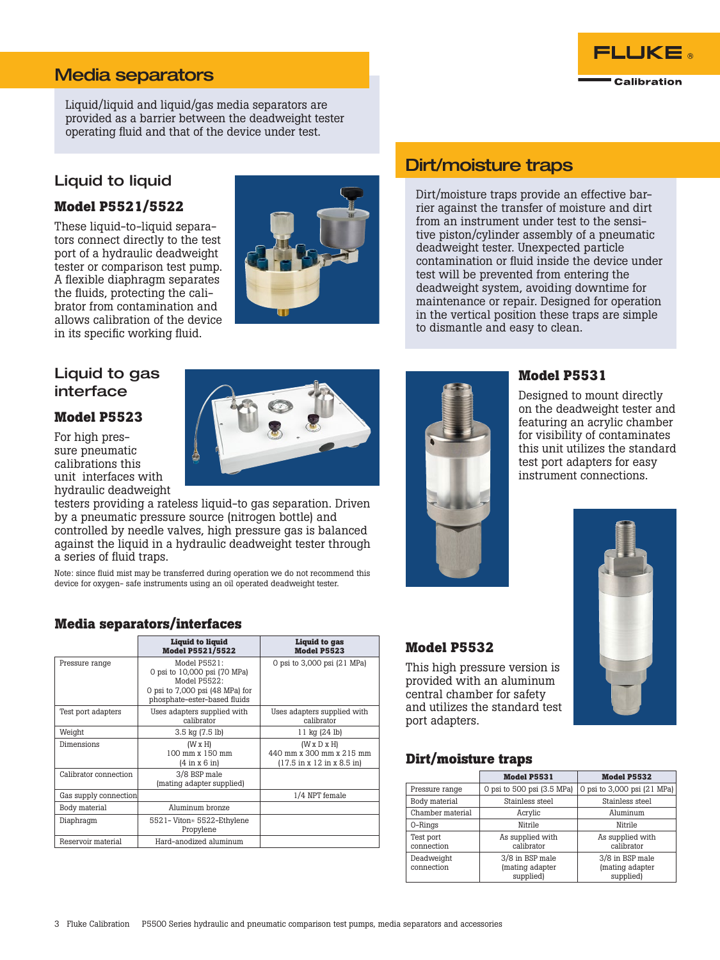# Media separators



Liquid/liquid and liquid/gas media separators are provided as a barrier between the deadweight tester operating fluid and that of the device under test.

# Liquid to liquid

## **Model P5521/5522**

These liquid-to-liquid separators connect directly to the test port of a hydraulic deadweight tester or comparison test pump. A flexible diaphragm separates the fluids, protecting the calibrator from contamination and allows calibration of the device in its specific working fluid.



# Dirt/moisture traps

Dirt/moisture traps provide an effective barrier against the transfer of moisture and dirt from an instrument under test to the sensitive piston/cylinder assembly of a pneumatic deadweight tester. Unexpected particle contamination or fluid inside the device under test will be prevented from entering the deadweight system, avoiding downtime for maintenance or repair. Designed for operation in the vertical position these traps are simple to dismantle and easy to clean.

# Liquid to gas interface

## **Model P5523**

For high pressure pneumatic calibrations this unit interfaces with hydraulic deadweight

testers providing a rateless liquid-to gas separation. Driven by a pneumatic pressure source (nitrogen bottle) and controlled by needle valves, high pressure gas is balanced against the liquid in a hydraulic deadweight tester through a series of fluid traps.

Note: since fluid mist may be transferred during operation we do not recommend this device for oxygen- safe instruments using an oil operated deadweight tester.

## **Media separators/interfaces**

|                       | <b>Liquid to liquid</b><br><b>Model P5521/5522</b>                                                                              | Liquid to gas<br><b>Model P5523</b>                                                                           |
|-----------------------|---------------------------------------------------------------------------------------------------------------------------------|---------------------------------------------------------------------------------------------------------------|
| Pressure range        | Model P5521:<br>0 psi to 10,000 psi (70 MPa)<br>Model P5522:<br>0 psi to 7,000 psi (48 MPa) for<br>phosphate-ester-based fluids | 0 psi to 3,000 psi (21 MPa)                                                                                   |
| Test port adapters    | Uses adapters supplied with<br>calibrator                                                                                       | Uses adapters supplied with<br>calibrator                                                                     |
| Weight                | 3.5 kg (7.5 lb)                                                                                                                 | 11 kg (24 lb)                                                                                                 |
| Dimensions            | $(W \times H)$<br>100 mm x 150 mm<br>$(4 \text{ in } x 6 \text{ in})$                                                           | $(W \times D \times H)$<br>440 mm x 300 mm x 215 mm<br>$(17.5 \text{ in } x 12 \text{ in } x 8.5 \text{ in})$ |
| Calibrator connection | 3/8 BSP male<br>(mating adapter supplied)                                                                                       |                                                                                                               |
| Gas supply connection |                                                                                                                                 | 1/4 NPT female                                                                                                |
| Body material         | Aluminum bronze                                                                                                                 |                                                                                                               |
| Diaphragm             | 5521 - Viton <sup>®</sup> 5522 - Ethylene<br>Propylene                                                                          |                                                                                                               |
| Reservoir material    | Hard-anodized aluminum                                                                                                          |                                                                                                               |



## **Model P5531**

Designed to mount directly on the deadweight tester and featuring an acrylic chamber for visibility of contaminates this unit utilizes the standard test port adapters for easy instrument connections.



# **Model P5532**

This high pressure version is provided with an aluminum central chamber for safety and utilizes the standard test port adapters.

#### **Dirt/moisture traps**

|                          | <b>Model P5531</b>                              | <b>Model P5532</b>                              |
|--------------------------|-------------------------------------------------|-------------------------------------------------|
| Pressure range           | 0 psi to 500 psi (3.5 MPa)                      | 0 psi to 3,000 psi (21 MPa)                     |
| Body material            | Stainless steel                                 | Stainless steel                                 |
| Chamber material         | Acrylic                                         | Aluminum                                        |
| 0-Rings                  | Nitrile                                         | Nitrile                                         |
| Test port<br>connection  | As supplied with<br>calibrator                  | As supplied with<br>calibrator                  |
| Deadweight<br>connection | 3/8 in BSP male<br>(mating adapter<br>supplied) | 3/8 in BSP male<br>(mating adapter<br>supplied) |